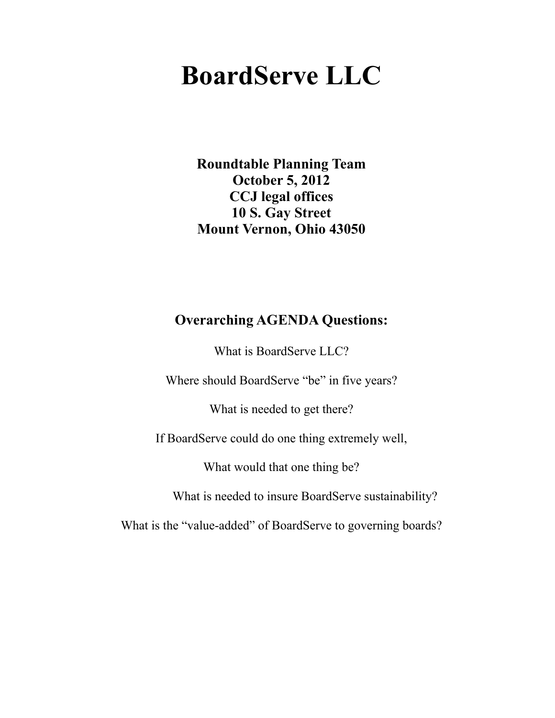# **BoardServe LLC**

**Roundtable Planning Team October 5, 2012 CCJ legal offices 10 S. Gay Street Mount Vernon, Ohio 43050**

#### **Overarching AGENDA Questions:**

What is BoardServe LLC?

Where should BoardServe "be" in five years?

What is needed to get there?

If BoardServe could do one thing extremely well,

What would that one thing be?

What is needed to insure BoardServe sustainability?

What is the "value-added" of BoardServe to governing boards?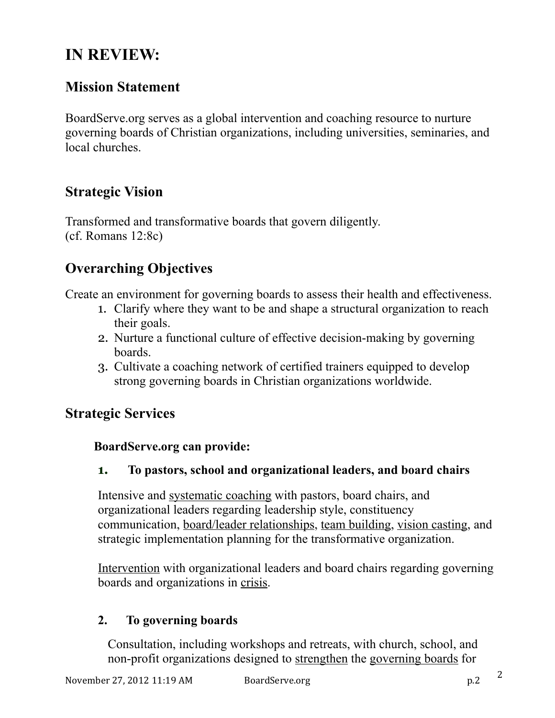# **IN REVIEW:**

# **Mission Statement**

BoardServe.org serves as a global intervention and coaching resource to nurture governing boards of Christian organizations, including universities, seminaries, and local churches.

## **Strategic Vision**

Transformed and transformative boards that govern diligently. (cf. Romans 12:8c)

# **Overarching Objectives**

Create an environment for governing boards to assess their health and effectiveness.

- 1. Clarify where they want to be and shape a structural organization to reach their goals.
- 2. Nurture a functional culture of effective decision-making by governing boards.
- 3. Cultivate a coaching network of certified trainers equipped to develop strong governing boards in Christian organizations worldwide.

## **Strategic Services**

#### **BoardServe.org can provide:**

#### **1. To pastors, school and organizational leaders, and board chairs**

Intensive and systematic coaching with pastors, board chairs, and organizational leaders regarding leadership style, constituency communication, board/leader relationships, team building, vision casting, and strategic implementation planning for the transformative organization.

Intervention with organizational leaders and board chairs regarding governing boards and organizations in crisis.

#### **2. To governing boards**

Consultation, including workshops and retreats, with church, school, and non-profit organizations designed to strengthen the governing boards for

2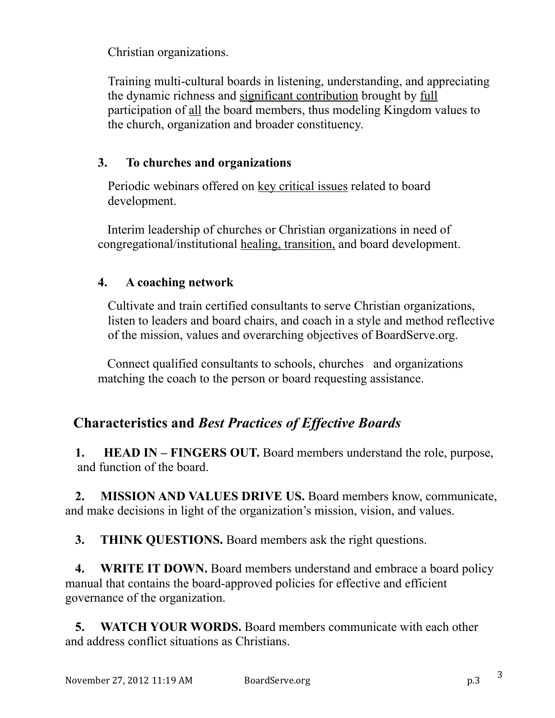Christian organizations.

Training multi-cultural boards in listening, understanding, and appreciating the dynamic richness and significant contribution brought by full participation of all the board members, thus modeling Kingdom values to the church, organization and broader constituency.

#### **3. To churches and organizations**

Periodic webinars offered on key critical issues related to board development.

 Interim leadership of churches or Christian organizations in need of congregational/institutional healing, transition, and board development.

#### **4. A coaching network**

Cultivate and train certified consultants to serve Christian organizations, listen to leaders and board chairs, and coach in a style and method reflective of the mission, values and overarching objectives of BoardServe.org.

 Connect qualified consultants to schools, churches and organizations matching the coach to the person or board requesting assistance.

# **Characteristics and** *Best Practices of Effective Boards*

 **1. HEAD IN – FINGERS OUT.** Board members understand the role, purpose, and function of the board.

 **2. MISSION AND VALUES DRIVE US.** Board members know, communicate, and make decisions in light of the organization's mission, vision, and values.

**3.** THINK QUESTIONS. Board members ask the right questions.

**4. WRITE IT DOWN.** Board members understand and embrace a board policy manual that contains the board-approved policies for effective and efficient governance of the organization.

 **5. WATCH YOUR WORDS.** Board members communicate with each other and address conflict situations as Christians.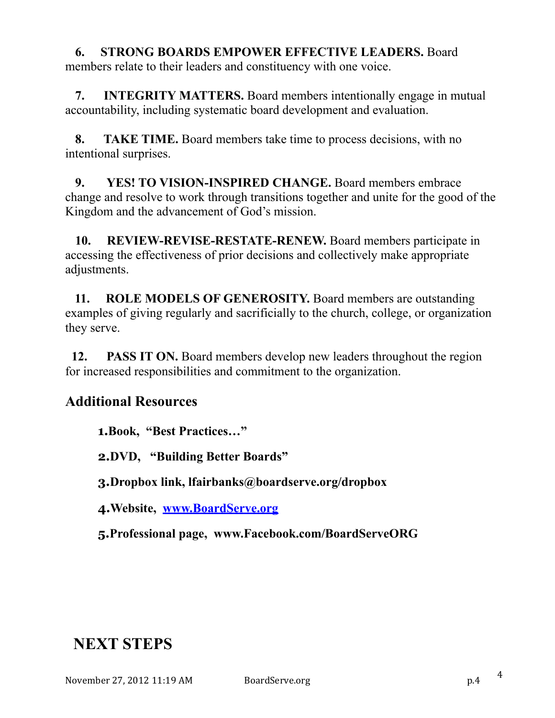#### **6. STRONG BOARDS EMPOWER EFFECTIVE LEADERS.** Board

members relate to their leaders and constituency with one voice.

 **7. INTEGRITY MATTERS.** Board members intentionally engage in mutual accountability, including systematic board development and evaluation.

 **8. TAKE TIME.** Board members take time to process decisions, with no intentional surprises.

 **9. YES! TO VISION-INSPIRED CHANGE.** Board members embrace change and resolve to work through transitions together and unite for the good of the Kingdom and the advancement of God's mission.

 **10. REVIEW-REVISE-RESTATE-RENEW.** Board members participate in accessing the effectiveness of prior decisions and collectively make appropriate adjustments.

 **11. ROLE MODELS OF GENEROSITY.** Board members are outstanding examples of giving regularly and sacrificially to the church, college, or organization they serve.

**12. PASS IT ON.** Board members develop new leaders throughout the region for increased responsibilities and commitment to the organization.

## **Additional Resources**

**1.Book, "Best Practices…"** 

**2.DVD, "Building Better Boards"** 

**3.Dropbox link, lfairbanks@boardserve.org/dropbox** 

**4.Website, [www.BoardServe.org](http://www.BoardServe.org)**

**5.Professional page, www.Facebook.com/BoardServeORG** 

# **NEXT STEPS**

November 27, 2012 11:19 AM BoardServe.org p.4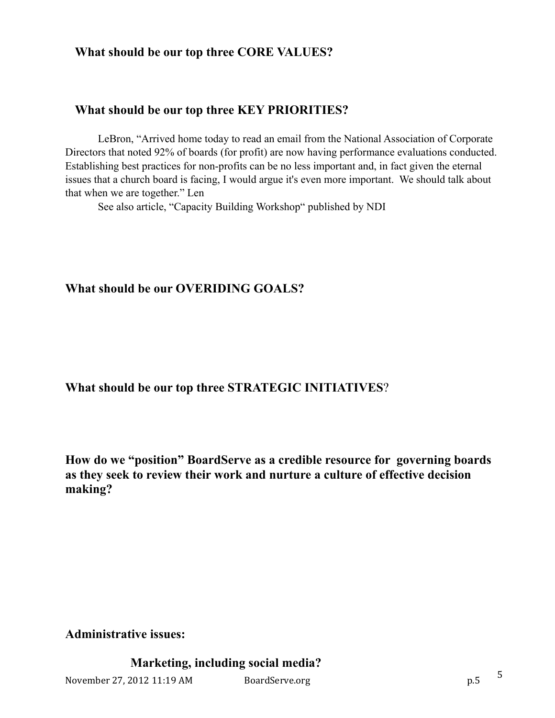#### **What should be our top three CORE VALUES?**

#### **What should be our top three KEY PRIORITIES?**

LeBron, "Arrived home today to read an email from the National Association of Corporate Directors that noted 92% of boards (for profit) are now having performance evaluations conducted. Establishing best practices for non-profits can be no less important and, in fact given the eternal issues that a church board is facing, I would argue it's even more important. We should talk about that when we are together." Len

See also article, "Capacity Building Workshop" published by NDI

#### **What should be our OVERIDING GOALS?**

**What should be our top three STRATEGIC INITIATIVES**?

**How do we "position" BoardServe as a credible resource for governing boards as they seek to review their work and nurture a culture of effective decision making?**

**Administrative issues:**

 **Marketing, including social media?**

November 27, 2012 11:19 AM BoardServe.org p.5